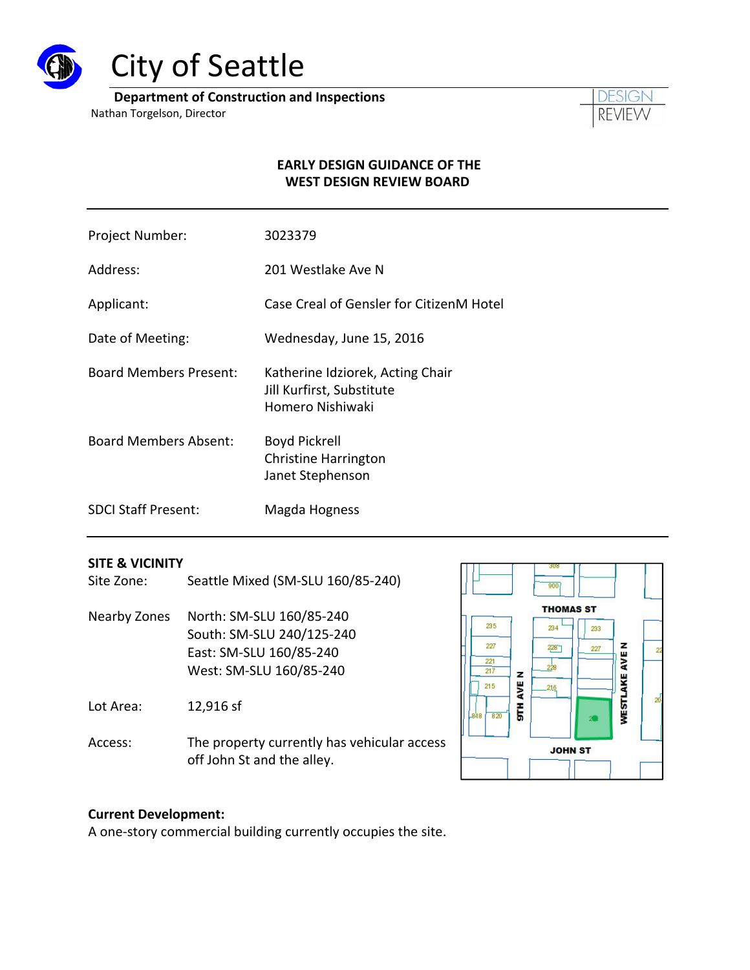

# City of Seattle

**Department of Construction and Inspections**

Nathan Torgelson, Director



#### **EARLY DESIGN GUIDANCE OF THE WEST DESIGN REVIEW BOARD**

- Project Number: 3023379
- Address: 201 Westlake Ave N
- Applicant: Case Creal of Gensler for CitizenM Hotel
- Date of Meeting: Wednesday, June 15, 2016
- Board Members Present: Katherine Idziorek, Acting Chair Jill Kurfirst, Substitute Homero Nishiwaki
- Board Members Absent: Boyd Pickrell Christine Harrington Janet Stephenson
- SDCI Staff Present: Magda Hogness

#### **SITE & VICINITY**

- Site Zone: Seattle Mixed (SM-SLU 160/85-240)
- Nearby Zones North: SM‐SLU 160/85‐240 South: SM‐SLU 240/125‐240 East: SM‐SLU 160/85‐240 West: SM‐SLU 160/85‐240

Lot Area: 12,916 sf

Access: The property currently has vehicular access off John St and the alley.



#### **Current Development:**

A one‐story commercial building currently occupies the site.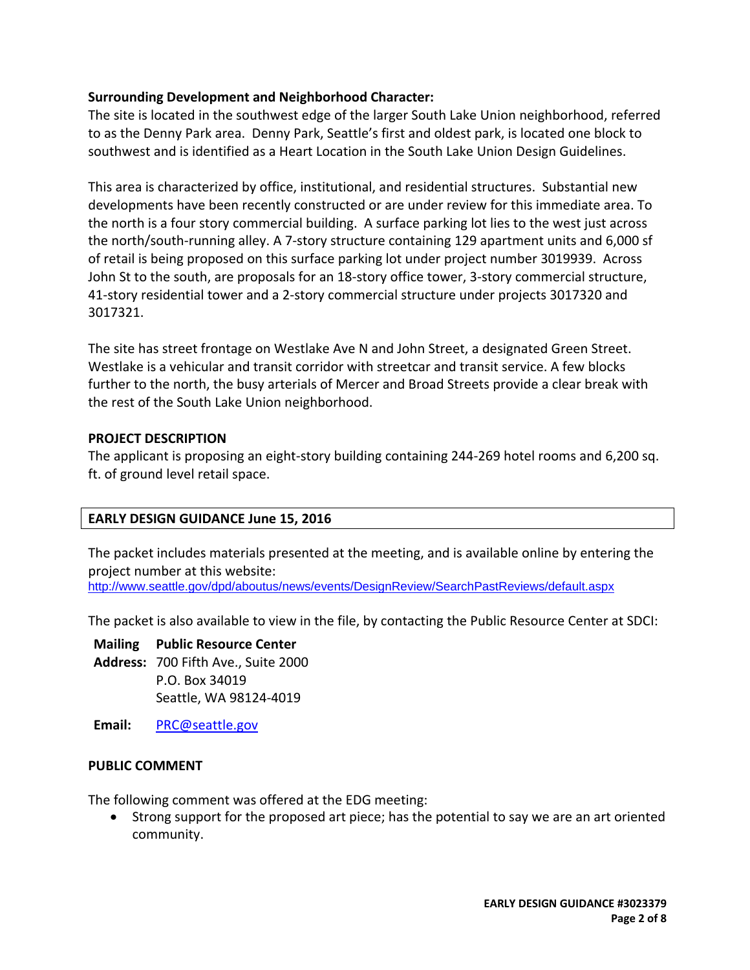#### **Surrounding Development and Neighborhood Character:**

The site is located in the southwest edge of the larger South Lake Union neighborhood, referred to as the Denny Park area. Denny Park, Seattle's first and oldest park, is located one block to southwest and is identified as a Heart Location in the South Lake Union Design Guidelines.

This area is characterized by office, institutional, and residential structures. Substantial new developments have been recently constructed or are under review for this immediate area. To the north is a four story commercial building. A surface parking lot lies to the west just across the north/south‐running alley. A 7‐story structure containing 129 apartment units and 6,000 sf of retail is being proposed on this surface parking lot under project number 3019939. Across John St to the south, are proposals for an 18‐story office tower, 3‐story commercial structure, 41‐story residential tower and a 2‐story commercial structure under projects 3017320 and 3017321.

The site has street frontage on Westlake Ave N and John Street, a designated Green Street. Westlake is a vehicular and transit corridor with streetcar and transit service. A few blocks further to the north, the busy arterials of Mercer and Broad Streets provide a clear break with the rest of the South Lake Union neighborhood.

#### **PROJECT DESCRIPTION**

The applicant is proposing an eight‐story building containing 244‐269 hotel rooms and 6,200 sq. ft. of ground level retail space.

### **EARLY DESIGN GUIDANCE June 15, 2016**

The packet includes materials presented at the meeting, and is available online by entering the project number at this website: http://www.seattle.gov/dpd/aboutus/news/events/DesignReview/SearchPastReviews/default.aspx

The packet is also available to view in the file, by contacting the Public Resource Center at SDCI:

**Mailing Public Resource Center**

- **Address:** 700 Fifth Ave., Suite 2000 P.O. Box 34019 Seattle, WA 98124‐4019
- **Email:** PRC@seattle.gov

#### **PUBLIC COMMENT**

The following comment was offered at the EDG meeting:

• Strong support for the proposed art piece; has the potential to say we are an art oriented community.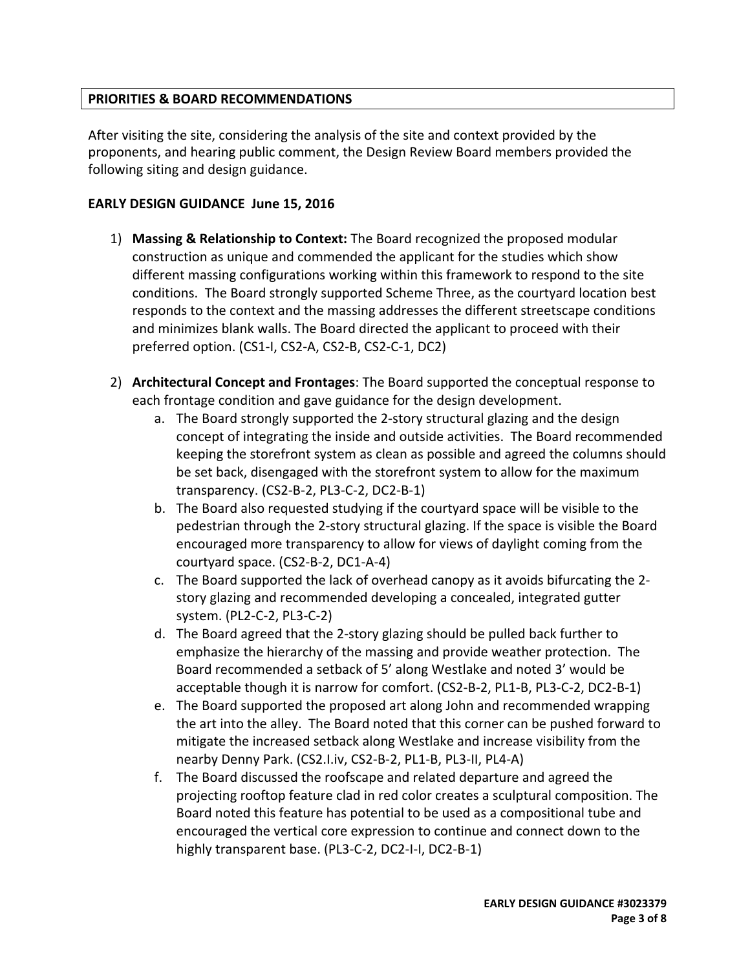### **PRIORITIES & BOARD RECOMMENDATIONS**

After visiting the site, considering the analysis of the site and context provided by the proponents, and hearing public comment, the Design Review Board members provided the following siting and design guidance.

#### **EARLY DESIGN GUIDANCE June 15, 2016**

- 1) **Massing & Relationship to Context:** The Board recognized the proposed modular construction as unique and commended the applicant for the studies which show different massing configurations working within this framework to respond to the site conditions. The Board strongly supported Scheme Three, as the courtyard location best responds to the context and the massing addresses the different streetscape conditions and minimizes blank walls. The Board directed the applicant to proceed with their preferred option. (CS1‐I, CS2‐A, CS2‐B, CS2‐C‐1, DC2)
- 2) **Architectural Concept and Frontages**: The Board supported the conceptual response to each frontage condition and gave guidance for the design development.
	- a. The Board strongly supported the 2‐story structural glazing and the design concept of integrating the inside and outside activities. The Board recommended keeping the storefront system as clean as possible and agreed the columns should be set back, disengaged with the storefront system to allow for the maximum transparency. (CS2‐B‐2, PL3‐C‐2, DC2‐B‐1)
	- b. The Board also requested studying if the courtyard space will be visible to the pedestrian through the 2‐story structural glazing. If the space is visible the Board encouraged more transparency to allow for views of daylight coming from the courtyard space. (CS2‐B‐2, DC1‐A‐4)
	- c. The Board supported the lack of overhead canopy as it avoids bifurcating the 2‐ story glazing and recommended developing a concealed, integrated gutter system. (PL2‐C‐2, PL3‐C‐2)
	- d. The Board agreed that the 2‐story glazing should be pulled back further to emphasize the hierarchy of the massing and provide weather protection. The Board recommended a setback of 5' along Westlake and noted 3' would be acceptable though it is narrow for comfort. (CS2‐B‐2, PL1‐B, PL3‐C‐2, DC2‐B‐1)
	- e. The Board supported the proposed art along John and recommended wrapping the art into the alley. The Board noted that this corner can be pushed forward to mitigate the increased setback along Westlake and increase visibility from the nearby Denny Park. (CS2.I.iv, CS2‐B‐2, PL1‐B, PL3‐II, PL4‐A)
	- f. The Board discussed the roofscape and related departure and agreed the projecting rooftop feature clad in red color creates a sculptural composition. The Board noted this feature has potential to be used as a compositional tube and encouraged the vertical core expression to continue and connect down to the highly transparent base. (PL3‐C‐2, DC2‐I‐I, DC2‐B‐1)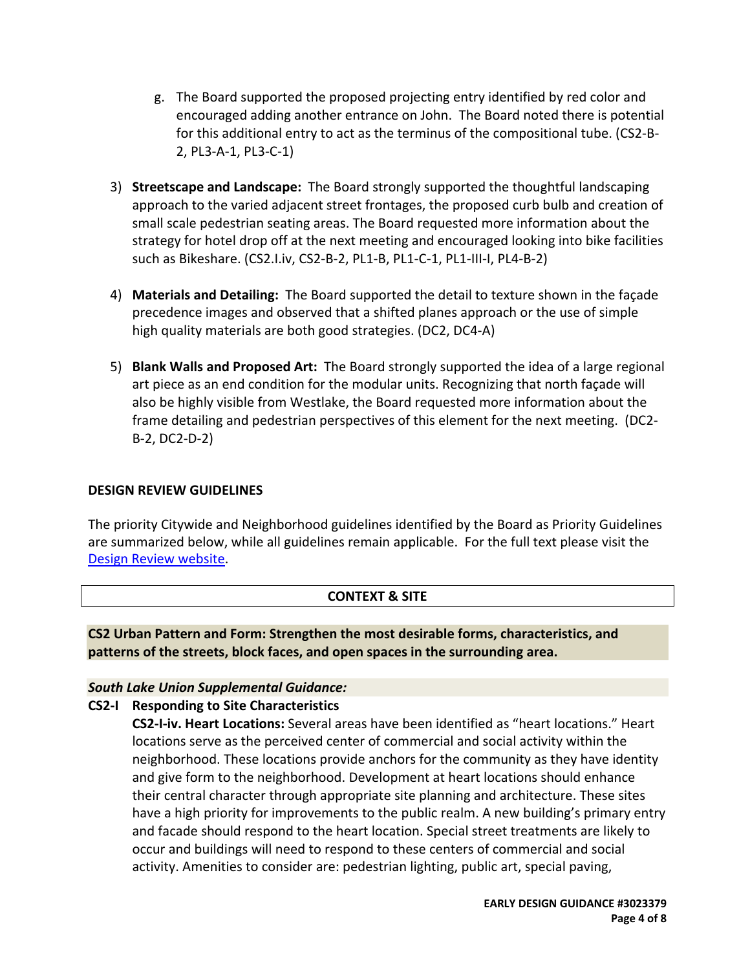- g. The Board supported the proposed projecting entry identified by red color and encouraged adding another entrance on John. The Board noted there is potential for this additional entry to act as the terminus of the compositional tube. (CS2‐B‐ 2, PL3‐A‐1, PL3‐C‐1)
- 3) **Streetscape and Landscape:** The Board strongly supported the thoughtful landscaping approach to the varied adjacent street frontages, the proposed curb bulb and creation of small scale pedestrian seating areas. The Board requested more information about the strategy for hotel drop off at the next meeting and encouraged looking into bike facilities such as Bikeshare. (CS2.I.iv, CS2‐B‐2, PL1‐B, PL1‐C‐1, PL1‐III‐I, PL4‐B‐2)
- 4) **Materials and Detailing:** The Board supported the detail to texture shown in the façade precedence images and observed that a shifted planes approach or the use of simple high quality materials are both good strategies. (DC2, DC4‐A)
- 5) **Blank Walls and Proposed Art:** The Board strongly supported the idea of a large regional art piece as an end condition for the modular units. Recognizing that north façade will also be highly visible from Westlake, the Board requested more information about the frame detailing and pedestrian perspectives of this element for the next meeting. (DC2‐ B‐2, DC2‐D‐2)

#### **DESIGN REVIEW GUIDELINES**

The priority Citywide and Neighborhood guidelines identified by the Board as Priority Guidelines are summarized below, while all guidelines remain applicable. For the full text please visit the Design Review website.

### **CONTEXT & SITE**

**CS2 Urban Pattern and Form: Strengthen the most desirable forms, characteristics, and patterns of the streets, block faces, and open spaces in the surrounding area.**

### *South Lake Union Supplemental Guidance:*

### **CS2‐I Responding to Site Characteristics**

**CS2‐I‐iv. Heart Locations:** Several areas have been identified as "heart locations." Heart locations serve as the perceived center of commercial and social activity within the neighborhood. These locations provide anchors for the community as they have identity and give form to the neighborhood. Development at heart locations should enhance their central character through appropriate site planning and architecture. These sites have a high priority for improvements to the public realm. A new building's primary entry and facade should respond to the heart location. Special street treatments are likely to occur and buildings will need to respond to these centers of commercial and social activity. Amenities to consider are: pedestrian lighting, public art, special paving,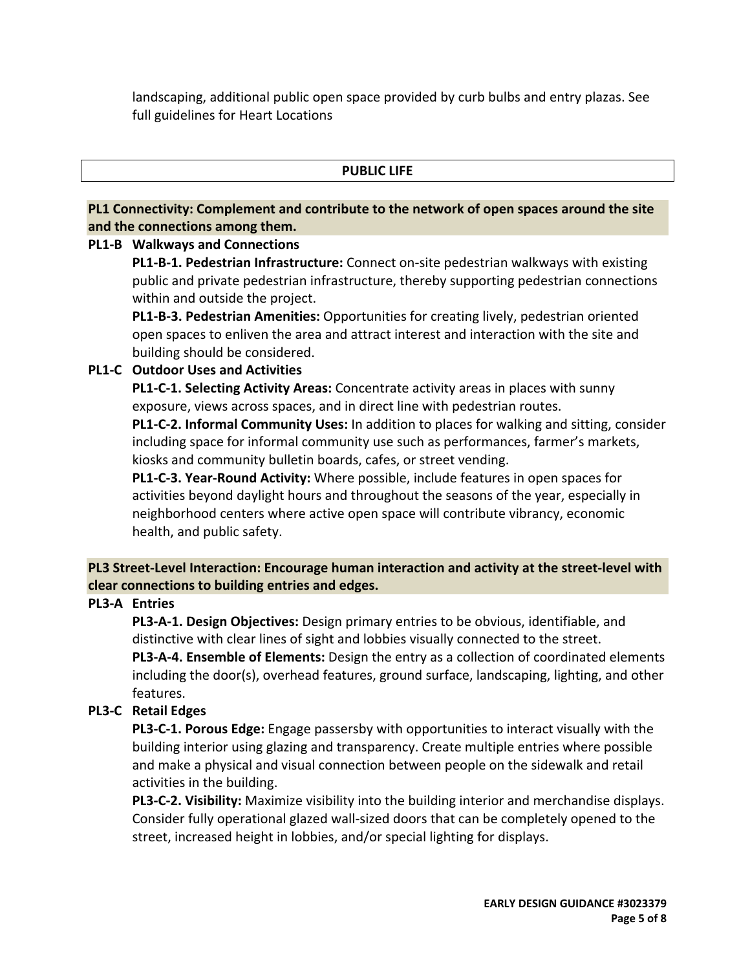landscaping, additional public open space provided by curb bulbs and entry plazas. See full guidelines for Heart Locations

#### **PUBLIC LIFE**

## **PL1 Connectivity: Complement and contribute to the network of open spaces around the site and the connections among them.**

#### **PL1‐B Walkways and Connections**

**PL1‐B‐1. Pedestrian Infrastructure:** Connect on‐site pedestrian walkways with existing public and private pedestrian infrastructure, thereby supporting pedestrian connections within and outside the project.

**PL1‐B‐3. Pedestrian Amenities:** Opportunities for creating lively, pedestrian oriented open spaces to enliven the area and attract interest and interaction with the site and building should be considered.

### **PL1‐C Outdoor Uses and Activities**

**PL1‐C‐1. Selecting Activity Areas:** Concentrate activity areas in places with sunny exposure, views across spaces, and in direct line with pedestrian routes.

**PL1‐C‐2. Informal Community Uses:** In addition to places for walking and sitting, consider including space for informal community use such as performances, farmer's markets, kiosks and community bulletin boards, cafes, or street vending.

**PL1‐C‐3. Year‐Round Activity:** Where possible, include features in open spaces for activities beyond daylight hours and throughout the seasons of the year, especially in neighborhood centers where active open space will contribute vibrancy, economic health, and public safety.

## **PL3 Street‐Level Interaction: Encourage human interaction and activity at the street‐level with clear connections to building entries and edges.**

### **PL3‐A Entries**

**PL3‐A‐1. Design Objectives:** Design primary entries to be obvious, identifiable, and distinctive with clear lines of sight and lobbies visually connected to the street. **PL3‐A‐4. Ensemble of Elements:** Design the entry as a collection of coordinated elements including the door(s), overhead features, ground surface, landscaping, lighting, and other features.

# **PL3‐C Retail Edges**

**PL3‐C‐1. Porous Edge:** Engage passersby with opportunities to interact visually with the building interior using glazing and transparency. Create multiple entries where possible and make a physical and visual connection between people on the sidewalk and retail activities in the building.

**PL3‐C‐2. Visibility:** Maximize visibility into the building interior and merchandise displays. Consider fully operational glazed wall‐sized doors that can be completely opened to the street, increased height in lobbies, and/or special lighting for displays.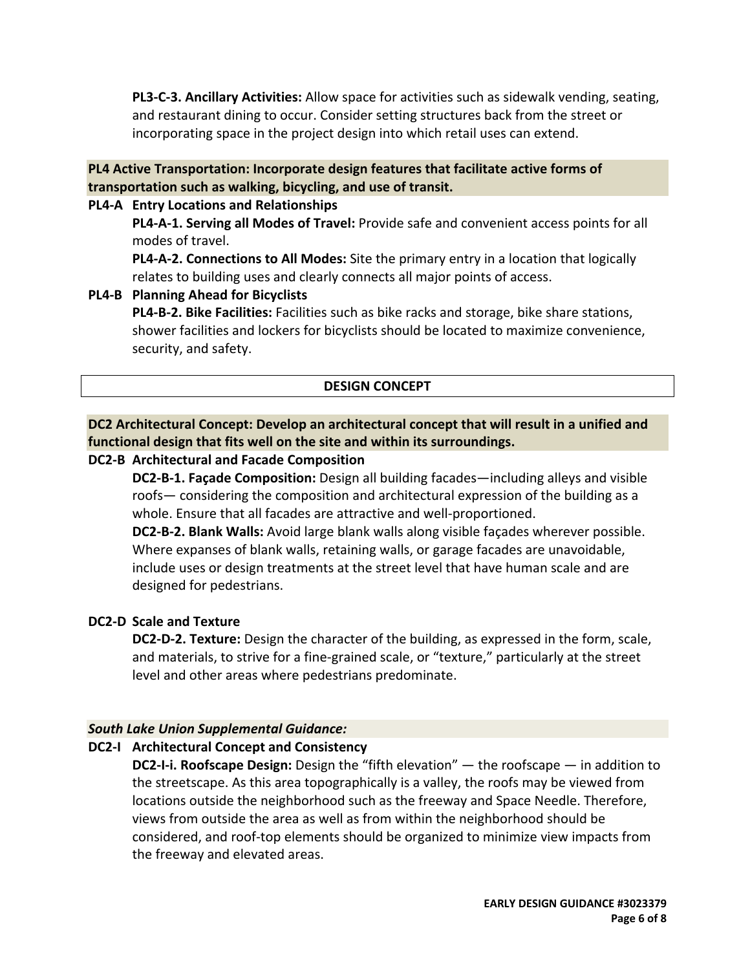**PL3‐C‐3. Ancillary Activities:** Allow space for activities such as sidewalk vending, seating, and restaurant dining to occur. Consider setting structures back from the street or incorporating space in the project design into which retail uses can extend.

#### **PL4 Active Transportation: Incorporate design features that facilitate active forms of transportation such as walking, bicycling, and use of transit.**

#### **PL4‐A Entry Locations and Relationships**

**PL4‐A‐1. Serving all Modes of Travel:** Provide safe and convenient access points for all modes of travel.

**PL4‐A‐2. Connections to All Modes:** Site the primary entry in a location that logically relates to building uses and clearly connects all major points of access.

#### **PL4‐B Planning Ahead for Bicyclists**

**PL4‐B‐2. Bike Facilities:** Facilities such as bike racks and storage, bike share stations, shower facilities and lockers for bicyclists should be located to maximize convenience, security, and safety.

#### **DESIGN CONCEPT**

**DC2 Architectural Concept: Develop an architectural concept that will result in a unified and functional design that fits well on the site and within its surroundings.**

#### **DC2‐B Architectural and Facade Composition**

**DC2‐B‐1. Façade Composition:** Design all building facades—including alleys and visible roofs— considering the composition and architectural expression of the building as a whole. Ensure that all facades are attractive and well-proportioned.

**DC2‐B‐2. Blank Walls:** Avoid large blank walls along visible façades wherever possible. Where expanses of blank walls, retaining walls, or garage facades are unavoidable, include uses or design treatments at the street level that have human scale and are designed for pedestrians.

### **DC2‐D Scale and Texture**

**DC2‐D‐2. Texture:** Design the character of the building, as expressed in the form, scale, and materials, to strive for a fine‐grained scale, or "texture," particularly at the street level and other areas where pedestrians predominate.

### *South Lake Union Supplemental Guidance:*

### **DC2‐I Architectural Concept and Consistency**

**DC2‐I‐i. Roofscape Design:** Design the "fifth elevation" — the roofscape — in addition to the streetscape. As this area topographically is a valley, the roofs may be viewed from locations outside the neighborhood such as the freeway and Space Needle. Therefore, views from outside the area as well as from within the neighborhood should be considered, and roof‐top elements should be organized to minimize view impacts from the freeway and elevated areas.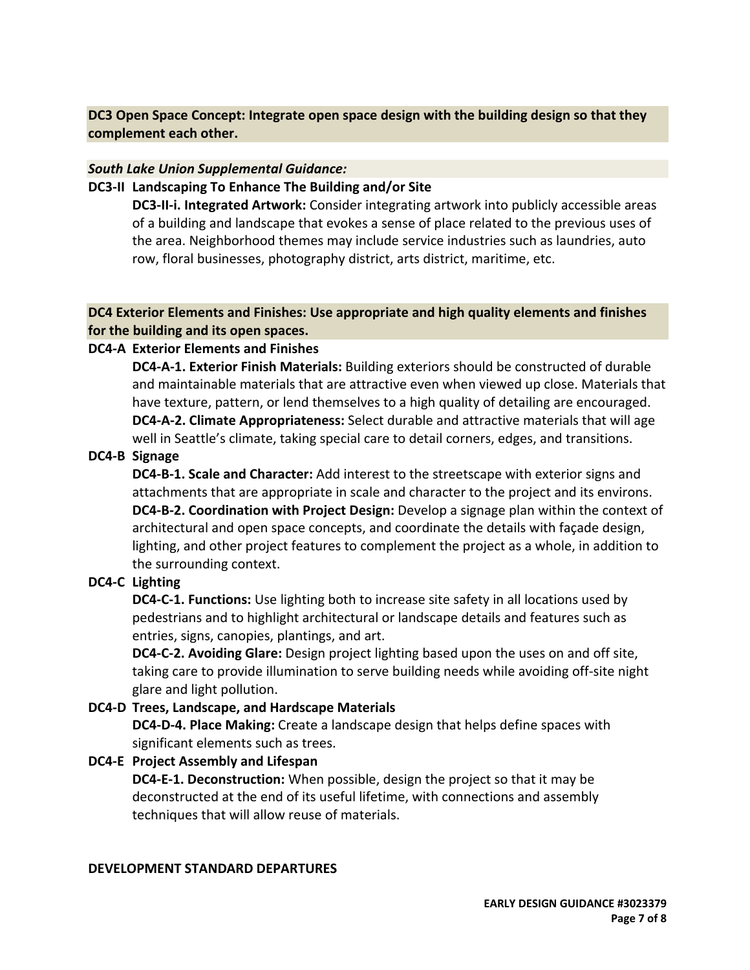**DC3 Open Space Concept: Integrate open space design with the building design so that they complement each other.**

#### *South Lake Union Supplemental Guidance:*

#### **DC3‐II Landscaping To Enhance The Building and/or Site**

**DC3‐II‐i. Integrated Artwork:** Consider integrating artwork into publicly accessible areas of a building and landscape that evokes a sense of place related to the previous uses of the area. Neighborhood themes may include service industries such as laundries, auto row, floral businesses, photography district, arts district, maritime, etc.

#### **DC4 Exterior Elements and Finishes: Use appropriate and high quality elements and finishes for the building and its open spaces.**

#### **DC4‐A Exterior Elements and Finishes**

**DC4‐A‐1. Exterior Finish Materials:** Building exteriors should be constructed of durable and maintainable materials that are attractive even when viewed up close. Materials that have texture, pattern, or lend themselves to a high quality of detailing are encouraged. **DC4‐A‐2. Climate Appropriateness:** Select durable and attractive materials that will age well in Seattle's climate, taking special care to detail corners, edges, and transitions.

#### **DC4‐B Signage**

**DC4‐B‐1. Scale and Character:** Add interest to the streetscape with exterior signs and attachments that are appropriate in scale and character to the project and its environs. **DC4‐B‐2. Coordination with Project Design:** Develop a signage plan within the context of architectural and open space concepts, and coordinate the details with façade design, lighting, and other project features to complement the project as a whole, in addition to the surrounding context.

### **DC4‐C Lighting**

**DC4‐C‐1. Functions:** Use lighting both to increase site safety in all locations used by pedestrians and to highlight architectural or landscape details and features such as entries, signs, canopies, plantings, and art.

**DC4‐C‐2. Avoiding Glare:** Design project lighting based upon the uses on and off site, taking care to provide illumination to serve building needs while avoiding off‐site night glare and light pollution.

#### **DC4‐D Trees, Landscape, and Hardscape Materials**

**DC4‐D‐4. Place Making:** Create a landscape design that helps define spaces with significant elements such as trees.

### **DC4‐E Project Assembly and Lifespan**

**DC4‐E‐1. Deconstruction:** When possible, design the project so that it may be deconstructed at the end of its useful lifetime, with connections and assembly techniques that will allow reuse of materials.

#### **DEVELOPMENT STANDARD DEPARTURES**